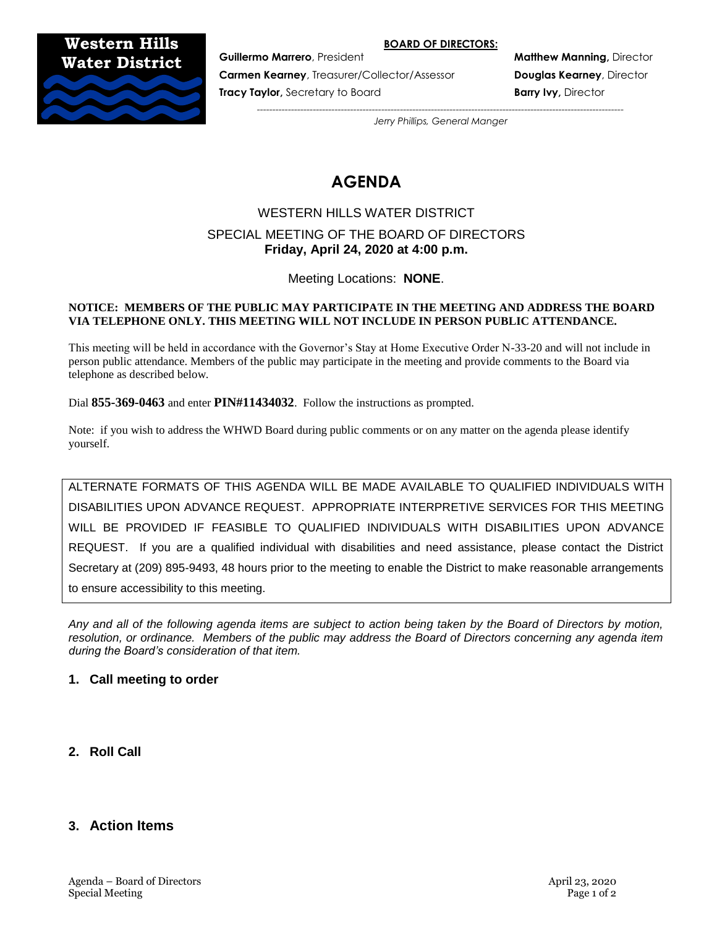#### **BOARD OF DIRECTORS:**

**Western Hills Water District**



**Carmen Kearney**, Treasurer/Collector/Assessor **Douglas Kearney**, Director **Tracy Taylor,** Secretary to Board **Barry Ivy, Director and Barry Ivy, Director** 

**Guillermo Marrero**, President **Matthew Manning,** Director

*---------------------------------------------------------------------------------------------------------------------- Jerry Phillips, General Manger*

# **AGENDA**

# WESTERN HILLS WATER DISTRICT SPECIAL MEETING OF THE BOARD OF DIRECTORS **Friday, April 24, 2020 at 4:00 p.m.**

Meeting Locations: **NONE**.

#### **NOTICE: MEMBERS OF THE PUBLIC MAY PARTICIPATE IN THE MEETING AND ADDRESS THE BOARD VIA TELEPHONE ONLY. THIS MEETING WILL NOT INCLUDE IN PERSON PUBLIC ATTENDANCE.**

This meeting will be held in accordance with the Governor's Stay at Home Executive Order N-33-20 and will not include in person public attendance. Members of the public may participate in the meeting and provide comments to the Board via telephone as described below.

Dial **855-369-0463** and enter **PIN#11434032**. Follow the instructions as prompted.

Note: if you wish to address the WHWD Board during public comments or on any matter on the agenda please identify yourself.

ALTERNATE FORMATS OF THIS AGENDA WILL BE MADE AVAILABLE TO QUALIFIED INDIVIDUALS WITH DISABILITIES UPON ADVANCE REQUEST. APPROPRIATE INTERPRETIVE SERVICES FOR THIS MEETING WILL BE PROVIDED IF FEASIBLE TO QUALIFIED INDIVIDUALS WITH DISABILITIES UPON ADVANCE REQUEST. If you are a qualified individual with disabilities and need assistance, please contact the District Secretary at (209) 895-9493, 48 hours prior to the meeting to enable the District to make reasonable arrangements to ensure accessibility to this meeting.

*Any and all of the following agenda items are subject to action being taken by the Board of Directors by motion, resolution, or ordinance. Members of the public may address the Board of Directors concerning any agenda item during the Board's consideration of that item.*

## **1. Call meeting to order**

**2. Roll Call**

# **3. Action Items**